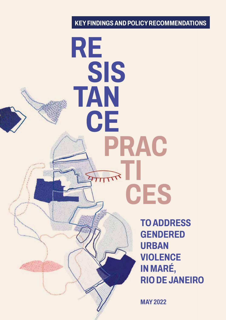# **KEY FINDINGS AND POLICY RECOMMENDATIONS**

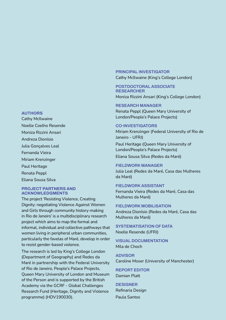#### **AUTHORS**

Cathy McIlwaine Noelle Coelho Resende Moniza Rizzini Ansari Andreza Dionísio Julia Gonçalves Leal Fernanda Vieira Miriam Krenzinger Paul Heritage Renata Peppl Eliana Sousa Silva

## **PROJECT PARTNERS AND ACKNOWLEDGMENTS**

The project 'Resisting Violence, Creating Dignity: negotiating Violence Against Women and Girls through community history-making in Rio de Janeiro' is a multidisciplinary research project which aims to map the formal and informal, individual and collective pathways that women living in peripheral urban communities, particularly the favelas of Maré, develop in order to resist gender-based violence.

The research is led by King's College London (Department of Geography) and Redes da Maré in partnership with the Federal University of Rio de Janeiro, People's Palace Projects, Queen Mary University of London and Museum of the Person and is supported by the British Academy via the GCRF - Global Challenges Research Fund (Heritage, Dignity and Violence programme) (HDV190030).

## **PRINCIPAL INVESTIGATOR**

Cathy McIlwaine (King's College London)

#### **POSTDOCTORAL ASSOCIATE RESEARCHER**

Moniza Rizzini Ansari (King's College London)

### **RESEARCH MANAGER**

Renata Peppl (Queen Mary University of London/People's Palace Projects)

#### **CO-INVESTIGATORS**

Miriam Krenzinger (Federal University of Rio de Janeiro - UFRJ)

Paul Heritage (Queen Mary University of London/People's Palace Projects)

Eliana Sousa Silva (Redes da Maré)

## **FIELDWORK MANAGER**

Julia Leal (Redes da Maré, Casa das Mulheres da Maré)

## **FIELDWORK ASSISTANT**

Fernanda Vieira (Redes da Maré, Casa das Mulheres da Maré)

#### **FIELDWORK MOBILISATION**

Andreza Dionísio (Redes da Maré, Casa das Mulheres da Maré)

**SYSTEMATISATION OF DATA** Noelle Resende (UFRJ)

## **VISUAL DOCUMENTATION** Mila de Choch

**ADVISOR** Caroline Moser (University of Manchester)

**REPORT EDITOR** Damian Platt

**DESIGNER** Refinaria Design Paula Santos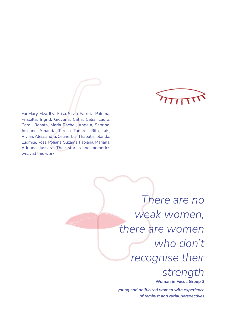

For Mary, Elza, Ilza, Elisa, Silvia, Patricia, Paloma, Priscilla, Ingrid, Giovana, Catia, Celia, Laura, Carol, Renata, Maria Rachel, Angela, Sabrina, Joseane, Amanda, Teresa, Tamires, Rita, Lais, Vivian, Alessandra, Celine, Lia, Thabata, Iolanda, Ludmila, Rosa, Poliana, Suzama, Fabiana, Mariana, Adriana, Jussara. Their stories and memories weaved this work.

> *There are no weak women, there are women who don't recognise their strength*  **Woman in Focus Group 3**

*young and politicized women with experience of feminist and racial perspectives*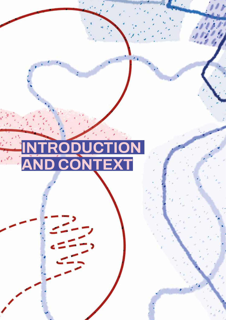# **INTRODUCTION AND CONTEXT**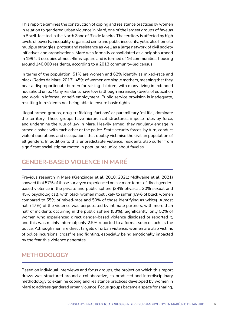This report examines the construction of coping and resistance practices by women in relation to gendered urban violence in Maré, one of the largest groups of favelas in Brazil, located in the North Zone of Rio de Janeiro. The territory is affected by high levels of poverty, inequality, organised crime and public insecurity, yet is also home to multiple struggles, protest and resistance as well as a large network of civil society initiatives and organisations. Maré was formally consolidated as a neighbourhood in 1994. It occupies almost 4kms square and is formed of 16 communities, housing around 140,000 residents, according to a 2013 community-led census.

In terms of the population, 51% are women and 62% identify as mixed-race and black (Redes da Maré, 2013). 45% of women are single mothers, meaning that they bear a disproportionate burden for raising children, with many living in extended household units. Many residents have low (although increasing) levels of education and work in informal or self-employment. Public service provision is inadequate, resulting in residents not being able to ensure basic rights.

Illegal armed groups, drug-trafficking 'factions' or paramilitary 'militia', dominate the territory. These groups have hierarchical structures, impose rules by force, and undermine the rule of law in Maré. Heavily armed, they regularly engage in armed clashes with each other or the police. State security forces, by turn, conduct violent operations and occupations that doubly victimise the civilian population of all genders. In addition to this unpredictable violence, residents also suffer from significant social stigma rooted in popular prejudice about favelas.

# **GENDER-BASED VIOLENCE IN MARÉ**

Previous research in Maré (Krenzinger et al, 2018; 2021; McIlwaine et al. 2021) showed that 57% of those surveyed experienced one or more forms of direct genderbased violence in the private and public sphere (34% physical, 30% sexual and 45% psychological), with black women most likely to suffer (69% of black women compared to 55% of mixed-race and 50% of those identifying as white). Almost half (47%) of the violence was perpetrated by intimate partners, with more than half of incidents occurring in the public sphere (53%). Significantly, only 52% of women who experienced direct gender-based violence disclosed or reported it, and this was mainly informal; only 2.5% reported to a formal source such as the police. Although men are direct targets of urban violence, women are also victims of police incursions, crossfire and fighting, especially being emotionally impacted by the fear this violence generates.

## **METHODOLOGY**

Based on individual interviews and focus groups, the project on which this report draws was structured around a collaborative, co-produced and interdisciplinary methodology to examine coping and resistance practices developed by women in Maré to address gendered urban violence. Focus groups became a space for sharing,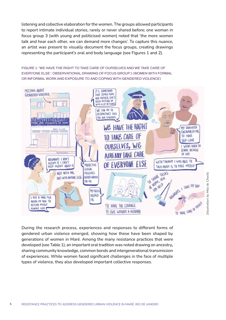listening and collective elaboration for the women. The groups allowed participants to report intimate individual stories, rarely or never shared before; one woman in focus group 3 (with young and politicised women) noted that 'the more women talk and hear each other, we can demand more changes'. To capture this nuance, an artist was present to visually document the focus groups, creating drawings representing the participant's oral and body language (see Figures 1 and 2).

FIGURE 1: 'WE HAVE THE RIGHT TO TAKE CARE OF OURSELVES AND WE TAKE CARE OF EVERYONE ELSE': OBSERVATIONAL DRAWING OF FOCUS GROUP 1 (WOMEN WITH FORMAL OR INFORMAL WORK AND EXPOSURE TO AND COPING WITH GENDERED VIOLENCE)



During the research process, experiences and responses to different forms of gendered urban violence emerged, showing how these have been shaped by generations of women in Maré. Among the many resistance practices that were developed (see Table 1), an important oral tradition was noted drawing on ancestry*,* sharing community knowledge, common bonds and intergenerational transmission of experiences. While women faced significant challenges in the face of multiple types of violence, they also developed important collective responses.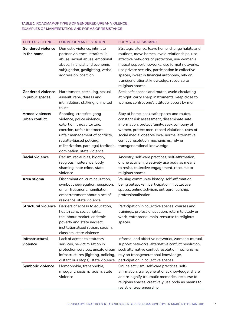## TABLE 1: ROADMAP OF TYPES OF GENDERED URBAN VIOLENCE, EXAMPLES OF MANIFESTATION AND FORMS OF RESISTANCE

| <b>TYPE OF VIOLENCE</b>                      | <b>FORMS OF MANIFESTATION</b>                                                                                                                                                                                                                                                            | <b>FORMS OF RESISTANCE</b>                                                                                                                                                                                                                                                                                                                                                 |
|----------------------------------------------|------------------------------------------------------------------------------------------------------------------------------------------------------------------------------------------------------------------------------------------------------------------------------------------|----------------------------------------------------------------------------------------------------------------------------------------------------------------------------------------------------------------------------------------------------------------------------------------------------------------------------------------------------------------------------|
| <b>Gendered violence</b><br>in the home      | Domestic violence, intimate<br>partner violence, intrafamilial<br>abuse, sexual abuse, emotional<br>abuse, financial and economic<br>subjugation, gaslighting, verbal<br>aggression, coercion                                                                                            | Strategic silence, leave home, change habits and<br>routines, move homes, avoid relationships, use<br>affective networks of protection, use women's<br>mutual support networks, use formal networks,<br>use private security, participation in collective<br>spaces, invest in financial autonomy, rely on<br>transgenerational knowledge, recourse to<br>religious spaces |
| <b>Gendered violence</b><br>in public spaces | Harassment, catcalling, sexual<br>assault, rape, duress and<br>intimidation, stalking, uninvited<br>touch                                                                                                                                                                                | Seek safe spaces and routes, avoid circulating<br>at night, carry sharp instruments, keep close to<br>women, control one's attitude, escort by men                                                                                                                                                                                                                         |
| Armed violence/<br>urban conflict            | Shooting, crossfire, gang<br>violence, police violence,<br>extortion, threat, torture,<br>coercion, unfair treatment,<br>unfair management of conflicts,<br>racially-biased policing,<br>militarization, paralegal territorial transgenerational knowledge<br>domination, state violence | Stay at home, seek safe spaces and routes,<br>constant risk assessment, disseminate safe<br>information, protect family, seek company of<br>women, protect men, record violations, uses of<br>social media, observe local norms, alternative<br>conflict resolution mechanisms, rely on                                                                                    |
| <b>Racial violence</b>                       | Racism, racial bias, bigotry,<br>religious intolerance, body<br>shaming, hate crime, state<br>violence                                                                                                                                                                                   | Ancestry, self-care practices, self-affirmation,<br>online activism, creatively use body as means<br>to resist, collective engagement, recourse to<br>religious spaces                                                                                                                                                                                                     |
| Area stigma                                  | Discrimination, criminalization,<br>symbolic segregation, suspicion,<br>unfair treatment, humiliation,<br>embarrassment about place of<br>residence, state violence                                                                                                                      | Valuing community history, self-affirmation,<br>being outspoken, participation in collective<br>spaces, online activism, entrepreneurship,<br>professionalisation                                                                                                                                                                                                          |
| <b>Structural violence</b>                   | Barriers of access to education,<br>health care, social rights,<br>the labour market, endemic<br>poverty and state neglect,<br>institutionalized racism, sexism,<br>classism, state violence                                                                                             | Participation in collective spaces, courses and<br>trainings, professionalisation, return to study or<br>work, entrepreneurship, recourse to religious<br>spaces                                                                                                                                                                                                           |
| Infrastructural<br>violence                  | Lack of access to statutory<br>services, re-victimization in<br>protection services, unsafe urban<br>infrastructures (lighting, policing,<br>distant bus stops), state violence                                                                                                          | Informal and affective networks, women's mutual<br>support networks, alternative conflict resolution,<br>seek alternative conflict resolution mechanisms,<br>rely on transgenerational knowledge,<br>participation in collective spaces                                                                                                                                    |
| <b>Symbolic violence</b>                     | Homophobia, transphobia,<br>misogyny, sexism, racism, state<br>violence                                                                                                                                                                                                                  | Online activism, self-care practices, self-<br>affirmation, transgenerational knowledge, share<br>and re-signify traumatic memories, recourse to<br>religious spaces, creatively use body as means to<br>resist, entrepreneurship                                                                                                                                          |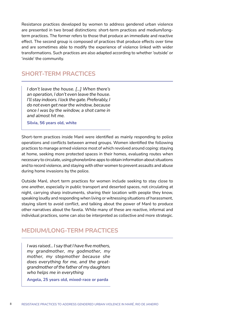Resistance practices developed by women to address gendered urban violence are presented in two broad distinctions: short-term practices and medium/longterm practices. The former refers to those that produce an immediate and reactive effect. The second group is composed of practices that produce effects over time and are sometimes able to modify the experience of violence linked with wider transformations. Such practices are also adapted according to whether 'outside' or 'inside' the community.

## **SHORT-TERM PRACTICES**

*I don't leave the house. [...] When there's an operation, I don't even leave the house. I'll stay indoors. I lock the gate. Preferably, I do not even get near the window, because once I was by the window, a shot came in and almost hit me.*

**Silvia, 56 years old, white**

Short-term practices inside Maré were identified as mainly responding to police operations and conflicts between armed groups. Women identified the following practices to manage armed violence most of which revolved around coping: staying at home, seeking more protected spaces in their homes, evaluating routes when necessary to circulate, using phone/online apps to obtain information about situations and to record violence, and staying with other women to prevent assaults and abuse during home invasions by the police.

Outside Maré, short term practices for women include seeking to stay close to one another, especially in public transport and deserted spaces, not circulating at night, carrying sharp instruments, sharing their location with people they know, speaking loudly and responding when living or witnessing situations of harassment, staying silent to avoid conflict, and talking about the power of Maré to produce other narratives about the favela. While many of these are reactive, informal and individual practices, some can also be interpreted as collective and more strategic.

## **MEDIUM/LONG-TERM PRACTICES**

*I was raised... I say that I have five mothers, my grandmother, my godmother, my mother, my stepmother because she does everything for me, and the greatgrandmother of the father of my daughters who helps me in everything*

**Angela, 25 years old, mixed-race or parda**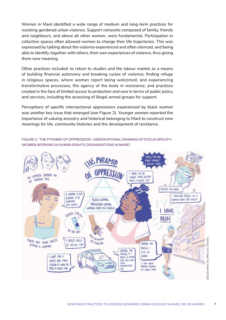Women in Maré identified a wide range of medium and long-term practices for resisting gendered urban violence. Support networks composed of family, friends and neighbours, and above all other women, were fundamental. Participation in collective spaces often allowed women to change their life trajectories. This was expressed by talking about the violence experienced and often silenced, and being able to identify, together with others, their own experiences of violence, thus giving them new meaning.

Other practices included: to return to studies and the labour market as a means of building financial autonomy and breaking cycles of violence; finding refuge in religious spaces, where women report being welcomed, and experiencing transformative processes; the agency of the body in resistance; and practices created in the face of limited access to protection and care in terms of public policy and services, including the accessing of illegal armed groups for support.

Perceptions of specific intersectional oppressions experienced by black women was another key issue that emerged (see Figure 2). Younger women reported the importance of valuing ancestry and historical belonging to Maré to construct new meanings for life, community histories and the development of resistance.

FIGURE 2: 'THE PYRAMID OF OPPRESSION': OBSERVATIONAL DRAWING OF FOCUS GROUP 4 (WOMEN WORKING IN HUMAN RIGHTS ORGANISATIONS IN MARÉ)

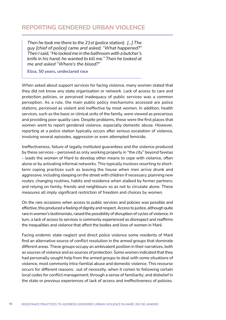## **REPORTING GENDERED URBAN VIOLENCE**

*Then he took me there to the 21st (police station). [...] The guy [chief of police] came and asked, "What happened?" Then I said, "He locked me in the bathroom with a butcher's knife in his hand; he wanted to kill me." Then he looked at me and asked "Where's the blood?"*

**Elisa, 50 years, undeclared race**

When asked about support services for facing violence, many women stated that they did not know any state organisation or network. Lack of access to care and protection policies, or perceived inadequacy of public services was a common perception. As a rule, the main public policy mechanisms accessed are police stations, perceived as violent and ineffective by most women. In addition, health services, such as the basic or clinical units of the family, were viewed as precarious and providing poor quality care. Despite problems, these were the first places that women went to report gendered violence, especially domestic abuse. However, reporting at a police station typically occurs after serious escalation of violence, involving several episodes, aggression or even attempted femicide.

Ineffectiveness, failure of legally instituted guarantees and the violence produced by these services – perceived as only working properly in "the city" beyond favelas – leads the women of Maré to develop other means to cope with violence, often alone or by activating informal networks. This typically involves resorting to shortterm coping practices such as leaving the house when men arrive drunk and aggressive, including sleeping on the street with children if necessary; planning new routes; changing routines, habits and residence when stalked by former partners; and relying on family, friends and neighbours so as not to circulate alone. These measures all imply significant restriction of freedom and choices by women.

On the rare occasions when access to public services and policies was possible and effective, this produced a feeling of dignity and respect. Access to justice, although quite rare in women's testimonials, raised the possibility of disruption of cycles of violence. In turn, a lack of access to services is commonly experienced as disrespect and reaffirms the inequalities and violence that affect the bodies and lives of women in Maré.

Facing endemic state neglect and direct police violence some residents of Maré find an alternative source of conflict resolution in the armed groups that dominate different areas. These groups occupy an ambivalent position in their narratives, both as sources of violence and as sources of protection. Some women indicated that they had personally sought help from the armed groups to deal with some situations of violence, most commonly intra-familial abuse and domestic violence. This recourse occurs for different reasons: out of necessity, when it comes to following certain local codes for conflict management; through a sense of familiarity; and disbelief in the state or previous experiences of lack of access and ineffectiveness of policies.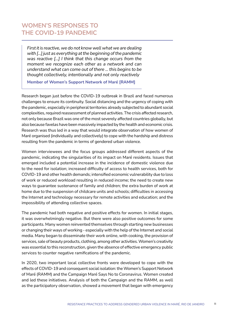# **WOMEN'S RESPONSES TO THE COVID-19 PANDEMIC**

*First it is reactive, we do not know well what we are dealing with [...] just as everything at the beginning of the pandemic was reactive [...] I think that this change occurs from the moment we recognize each other as a network and can understand what can come out of there ... this begins to be thought collectively, intentionally and not only reactively*

**Member of Women's Support Network of Maré [RAMM]**

Research began just before the COVID-19 outbreak in Brazil and faced numerous challenges to ensure its continuity. Social distancing and the urgency of coping with the pandemic, especially in peripheral territories already subjected to abundant social complexities, required reassessment of planned activities. The crisis affected research, not only because Brazil was one of the most severely affected countries globally, but also because favelas have been massively impacted by the health and economic crisis. Research was thus led in a way that would integrate observation of how women of Maré organised (individually and collectively) to cope with the hardship and distress resulting from the pandemic in terms of gendered urban violence.

Women interviewees and the focus groups addressed different aspects of the pandemic, indicating the singularities of its impact on Maré residents. Issues that emerged included a potential increase in the incidence of domestic violence due to the need for isolation; increased difficulty of access to health services, both for COVID-19 and other health demands; intensified economic vulnerability due to loss of work or reduced workload resulting in reduced income; the need to create new ways to guarantee sustenance of family and children; the extra burden of work at home due to the suspension of childcare units and schools; difficulties in accessing the Internet and technology necessary for remote activities and education; and the impossibility of attending collective spaces.

The pandemic had both negative and positive effects for women. In initial stages, it was overwhelmingly negative. But there were also positive outcomes for some participants. Many women reinvented themselves through starting new businesses or changing their ways of working - especially with the help of the Internet and social media. Many began to disseminate their work online, with cooking, the provision of services, sale of beauty products, clothing, among other activities. Women's creativity was essential to this reconstruction, given the absence of effective emergency public services to counter negative ramifications of the pandemic.

In 2020, two important local collective fronts were developed to cope with the effects of COVID-19 and consequent social isolation: the Women's Support Network of Maré (RAMM) and the Campaign Maré Says No to Coronavirus. Women created and led these initiatives. Analysis of both the Campaign and the RAMM, as well as the participatory observation, showed a movement that began with emergency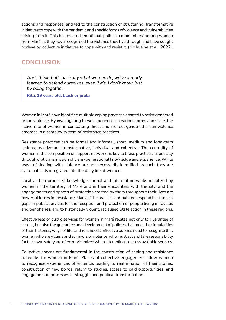actions and responses, and led to the construction of structuring, transformative initiatives to cope with the pandemic and specific forms of violence and vulnerabilities arising from it. This has created 'emotional-political communities' among women from Maré as they have recognised the violence they live through and have sought to develop collective initiatives to cope with and resist it. (McIlwaine et al., 2022).

## **CONCLUSION**

*And I think that's basically what women do, we've already learned to defend ourselves, even if it's, I don't know, just by being together*

**Rita, 19 years old, black or preta**

Women in Maré have identified multiple coping practices created to resist gendered urban violence. By investigating these experiences in various forms and scale, the active role of women in combatting direct and indirect gendered urban violence emerges in a complex system of resistance practices.

Resistance practices can be formal and informal, short, medium and long-term actions, reactive and transformative, individual and collective. The centrality of women in the composition of support networks is key to these practices, especially through oral transmission of trans-generational knowledge and experience. While ways of dealing with violence are not necessarily identified as such, they are systematically integrated into the daily life of women.

Local and co-produced knowledge, formal and informal networks mobilized by women in the territory of Maré and in their encounters with the city, and the engagements and spaces of protection created by them throughout their lives are powerful forces for resistance. Many of the practices formulated respond to historical gaps in public services for the reception and protection of people living in favelas and peripheries, and to historically violent, racialised State action in these regions.

Effectiveness of public services for women in Maré relates not only to guarantee of access, but also the guarantee and development of policies that meet the singularities of their histories, ways of life, and real needs. Effective policies need to recognise that women who are victims and survivors of violence, who must act and take responsibility for their own safety, are often re-victimized when attempting to access available services.

Collective spaces are fundamental in the construction of coping and resistance networks for women in Maré. Places of collective engagement allow women to recognise experiences of violence, leading to reaffirmation of their stories, construction of new bonds, return to studies, access to paid opportunities, and engagement in processes of struggle and political transformation.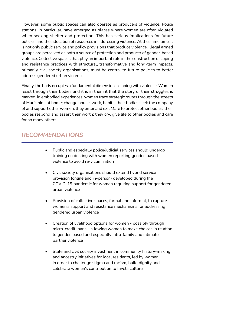However, some public spaces can also operate as producers of violence. Police stations, in particular, have emerged as places where women are often violated when seeking shelter and protection. This has serious implications for future policies and the allocation of resources in addressing violence. At the same time, it is not only public service and policy provisions that produce violence. Illegal armed groups are perceived as both a source of protection and producer of gender-based violence. Collective spaces that play an important role in the construction of coping and resistance practices with structural, transformative and long-term impacts, primarily civil society organisations, must be central to future policies to better address gendered urban violence.

Finally, the body occupies a fundamental dimension in coping with violence. Women resist through their bodies and it is in them it that the story of their struggles is marked. In embodied experiences, women trace strategic routes through the streets of Maré, hide at home; change house, work, habits; their bodies seek the company of and support other women; they enter and exit Maré to protect other bodies; their bodies respond and assert their worth; they cry, give life to other bodies and care for so many others.

# *RECOMMENDATIONS*

- Public and especially police/judicial services should undergo training on dealing with women reporting gender-based violence to avoid re-victimisation
- Civil society organisations should extend hybrid service provision (online and in-person) developed during the COVID-19 pandemic for women requiring support for gendered urban violence
- Provision of collective spaces, formal and informal, to capture women's support and resistance mechanisms for addressing gendered urban violence
- Creation of livelihood options for women possibly through micro-credit loans - allowing women to make choices in relation to gender-based and especially intra-family and intimate partner violence
- State and civil society investment in community history-making and ancestry initiatives for local residents, led by women, in order to challenge stigma and racism, build dignity and celebrate women's contribution to favela culture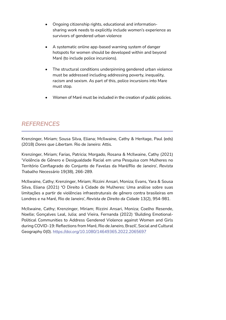- Ongoing citizenship rights, educational and informationsharing work needs to explicitly include women's experience as survivors of gendered urban violence
- A systematic online app-based warning system of danger hotspots for women should be developed within and beyond Maré (to include police incursions).
- The structural conditions underpinning gendered urban violence must be addressed including addressing poverty, inequality, racism and sexism. As part of this, police incursions into Mare must stop.
- Women of Maré must be included in the creation of public policies.

# *REFERENCES*

Krenzinger, Miriam; Sousa Silva, Eliana; McIlwaine, Cathy & Heritage, Paul (eds) (2018) *Dores que Libertam*. Rio de Janeiro: Attis.

Krenzinger, Miriam; Farias, Patricia; Morgado, Rosana & McIlwaine, Cathy (2021) 'Violência de Gênero e Desigualdade Racial em uma Pesquisa com Mulheres no Território Conflagrado do Conjunto de Favelas da Maré/Rio de Janeiro', *Revista Trabalho Necess*á*rio* 19(38), 266-289.

McIlwaine, Cathy; Krenzinger, Miriam; Rizzini Ansari, Moniza; Evans, Yara & Sousa Silva, Eliana (2021) **'**O Direito à Cidade de Mulheres: Uma análise sobre suas limitações a partir de violências infraestruturais de gênero contra brasileiras em Londres e na Maré, Rio de Janeiro', *Revista de Direito da Cidade* 13(2), 954-981.

McIlwaine, Cathy; Krenzinger, Miriam; Rizzini Ansari, Moniza; Coelho Resende, Noelle; Gonçalves Leal, Julia; and Vieira, Fernanda (2022) 'Building Emotional-Political Communities to Address Gendered Violence against Women and Girls during COVID-19: Reflections from Maré, Rio de Janeiro, Brazil', Social and Cultural Geography 0(0).<https://doi.org/10.1080/14649365.2022.2065697>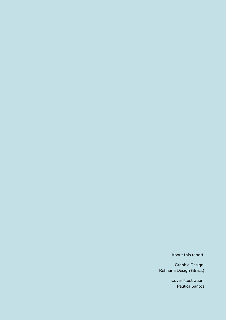About this report:

Graphic Design: Refinaria Design (Brazil)

> Cover Illustration: Paulica Santos